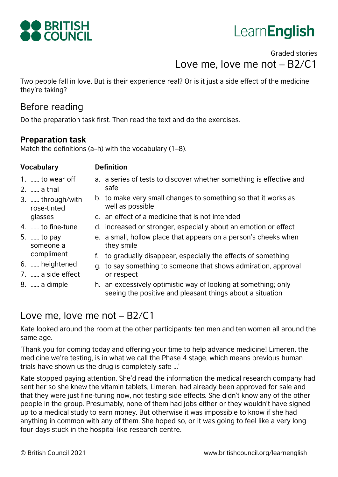

# **LearnEnglish**

# Graded stories Love me, love me not – B2/C1

Two people fall in love. But is their experience real? Or is it just a side effect of the medicine they're taking?

# Before reading

Do the preparation task first. Then read the text and do the exercises.

well as possible

### **Preparation task**

Match the definitions (a–h) with the vocabulary (1–8).

### **Vocabulary Definition**

2. …… a trial

- 1. …… to wear off
- a. a series of tests to discover whether something is effective and safe

b. to make very small changes to something so that it works as

- 3. …… through/with rose-tinted glasses
- c. an effect of a medicine that is not intended
- d. increased or stronger, especially about an emotion or effect
- 5. …… to pay someone a compliment

4. …… to fine-tune

- 6. …… heightened
- 7. …… a side effect
- 8. …… a dimple
- e. a small, hollow place that appears on a person's cheeks when they smile
- f. to gradually disappear, especially the effects of something
- g. to say something to someone that shows admiration, approval or respect
- h. an excessively optimistic way of looking at something; only seeing the positive and pleasant things about a situation

# Love me, love me not – B2/C1

Kate looked around the room at the other participants: ten men and ten women all around the same age.

'Thank you for coming today and offering your time to help advance medicine! Limeren, the medicine we're testing, is in what we call the Phase 4 stage, which means previous human trials have shown us the drug is completely safe ...'

Kate stopped paying attention. She'd read the information the medical research company had sent her so she knew the vitamin tablets, Limeren, had already been approved for sale and that they were just fine-tuning now, not testing side effects. She didn't know any of the other people in the group. Presumably, none of them had jobs either or they wouldn't have signed up to a medical study to earn money. But otherwise it was impossible to know if she had anything in common with any of them. She hoped so, or it was going to feel like a very long four days stuck in the hospital-like research centre.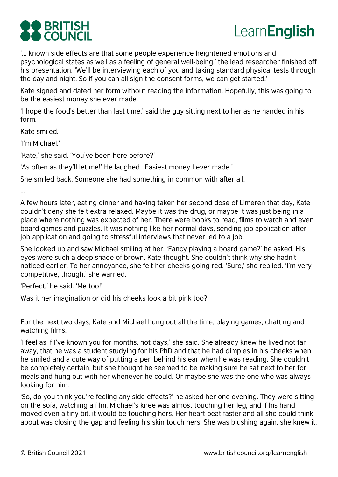



'... known side effects are that some people experience heightened emotions and psychological states as well as a feeling of general well-being,' the lead researcher finished off his presentation. 'We'll be interviewing each of you and taking standard physical tests through the day and night. So if you can all sign the consent forms, we can get started.'

Kate signed and dated her form without reading the information. Hopefully, this was going to be the easiest money she ever made.

'I hope the food's better than last time,' said the guy sitting next to her as he handed in his form.

Kate smiled.

'I'm Michael.'

'Kate,' she said. 'You've been here before?'

'As often as they'll let me!' He laughed. 'Easiest money I ever made.'

She smiled back. Someone she had something in common with after all.

...

A few hours later, eating dinner and having taken her second dose of Limeren that day, Kate couldn't deny she felt extra relaxed. Maybe it was the drug, or maybe it was just being in a place where nothing was expected of her. There were books to read, films to watch and even board games and puzzles. It was nothing like her normal days, sending job application after job application and going to stressful interviews that never led to a job.

She looked up and saw Michael smiling at her. 'Fancy playing a board game?' he asked. His eyes were such a deep shade of brown, Kate thought. She couldn't think why she hadn't noticed earlier. To her annoyance, she felt her cheeks going red. 'Sure,' she replied. 'I'm very competitive, though,' she warned.

'Perfect,' he said. 'Me too!'

Was it her imagination or did his cheeks look a bit pink too?

…

For the next two days, Kate and Michael hung out all the time, playing games, chatting and watching films.

'I feel as if I've known you for months, not days,' she said. She already knew he lived not far away, that he was a student studying for his PhD and that he had dimples in his cheeks when he smiled and a cute way of putting a pen behind his ear when he was reading. She couldn't be completely certain, but she thought he seemed to be making sure he sat next to her for meals and hung out with her whenever he could. Or maybe she was the one who was always looking for him.

'So, do you think you're feeling any side effects?' he asked her one evening. They were sitting on the sofa, watching a film. Michael's knee was almost touching her leg, and if his hand moved even a tiny bit, it would be touching hers. Her heart beat faster and all she could think about was closing the gap and feeling his skin touch hers. She was blushing again, she knew it.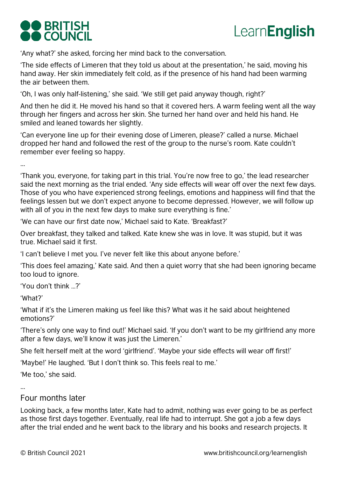# **DO BRITISH DO COUNCIL**



'Any what?' she asked, forcing her mind back to the conversation.

'The side effects of Limeren that they told us about at the presentation,' he said, moving his hand away. Her skin immediately felt cold, as if the presence of his hand had been warming the air between them.

'Oh, I was only half-listening,' she said. 'We still get paid anyway though, right?'

And then he did it. He moved his hand so that it covered hers. A warm feeling went all the way through her fingers and across her skin. She turned her hand over and held his hand. He smiled and leaned towards her slightly.

'Can everyone line up for their evening dose of Limeren, please?' called a nurse. Michael dropped her hand and followed the rest of the group to the nurse's room. Kate couldn't remember ever feeling so happy.

...

'Thank you, everyone, for taking part in this trial. You're now free to go,' the lead researcher said the next morning as the trial ended. 'Any side effects will wear off over the next few days. Those of you who have experienced strong feelings, emotions and happiness will find that the feelings lessen but we don't expect anyone to become depressed. However, we will follow up with all of you in the next few days to make sure everything is fine.'

'We can have our first date now,' Michael said to Kate. 'Breakfast?'

Over breakfast, they talked and talked. Kate knew she was in love. It was stupid, but it was true. Michael said it first.

'I can't believe I met you. I've never felt like this about anyone before.'

'This does feel amazing,' Kate said. And then a quiet worry that she had been ignoring became too loud to ignore.

'You don't think …?'

'What?'

'What if it's the Limeren making us feel like this? What was it he said about heightened emotions?'

'There's only one way to find out!' Michael said. 'If you don't want to be my girlfriend any more after a few days, we'll know it was just the Limeren.'

She felt herself melt at the word 'girlfriend'. 'Maybe your side effects will wear off first!'

'Maybe!' He laughed. 'But I don't think so. This feels real to me.'

'Me too,' she said.

...

### Four months later

Looking back, a few months later, Kate had to admit, nothing was ever going to be as perfect as those first days together. Eventually, real life had to interrupt. She got a job a few days after the trial ended and he went back to the library and his books and research projects. It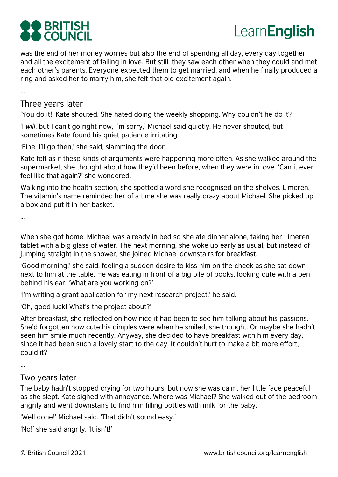# **DO BRITISH** COUNCIL



was the end of her money worries but also the end of spending all day, every day together and all the excitement of falling in love. But still, they saw each other when they could and met each other's parents. Everyone expected them to get married, and when he finally produced a ring and asked her to marry him, she felt that old excitement again.

...

### Three years later

'You do it!' Kate shouted. She hated doing the weekly shopping. Why couldn't he do it?

'I *will*, but I can't go right now, I'm sorry,' Michael said quietly. He never shouted, but sometimes Kate found his quiet patience irritating.

'Fine, I'll go then,' she said, slamming the door.

Kate felt as if these kinds of arguments were happening more often. As she walked around the supermarket, she thought about how they'd been before, when they were in love. 'Can it ever feel like that again?' she wondered.

Walking into the health section, she spotted a word she recognised on the shelves. Limeren. The vitamin's name reminded her of a time she was really crazy about Michael. She picked up a box and put it in her basket.

…

When she got home, Michael was already in bed so she ate dinner alone, taking her Limeren tablet with a big glass of water. The next morning, she woke up early as usual, but instead of jumping straight in the shower, she joined Michael downstairs for breakfast.

'Good morning!' she said, feeling a sudden desire to kiss him on the cheek as she sat down next to him at the table. He was eating in front of a big pile of books, looking cute with a pen behind his ear. 'What are you working on?'

'I'm writing a grant application for my next research project,' he said.

'Oh, good luck! What's the project about?'

After breakfast, she reflected on how nice it had been to see him talking about his passions. She'd forgotten how cute his dimples were when he smiled, she thought. Or maybe she hadn't seen him smile much recently. Anyway, she decided to have breakfast with him every day, since it had been such a lovely start to the day. It couldn't hurt to make a bit more effort, could it?

...

### Two years later

The baby hadn't stopped crying for two hours, but now she was calm, her little face peaceful as she slept. Kate sighed with annoyance. Where was Michael? She walked out of the bedroom angrily and went downstairs to find him filling bottles with milk for the baby.

'Well done!' Michael said. 'That didn't sound easy.'

'No!' she said angrily. 'It isn't!'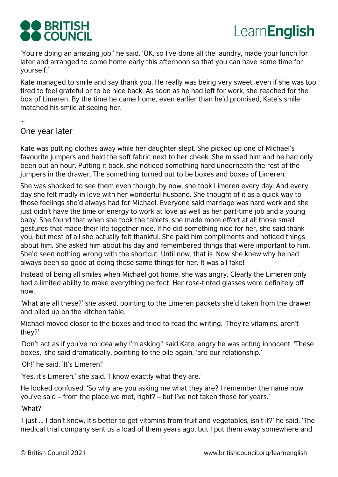



'You're doing an amazing job,' he said. 'OK, so I've done all the laundry, made your lunch for later and arranged to come home early this afternoon so that you can have some time for yourself.'

Kate managed to smile and say thank you. He really was being very sweet, even if she was too tired to feel grateful or to be nice back. As soon as he had left for work, she reached for the box of Limeren. By the time he came home, even earlier than he'd promised, Kate's smile matched his smile at seeing her.

…

One year later

Kate was putting clothes away while her daughter slept. She picked up one of Michael's favourite jumpers and held the soft fabric next to her cheek. She missed him and he had only been out an hour. Putting it back, she noticed something hard underneath the rest of the jumpers in the drawer. The something turned out to be boxes and boxes of Limeren.

She was shocked to see them even though, by now, she took Limeren every day. And every day she felt madly in love with her wonderful husband. She thought of it as a quick way to those feelings she'd always had for Michael. Everyone said marriage was hard work and she just didn't have the time or energy to work at love as well as her part-time job and a young baby. She found that when she took the tablets, she made more effort at all those small gestures that made their life together nice. If he did something nice for her, she said thank you, but most of all she actually felt thankful. She paid him compliments and noticed things about him. She asked him about his day and remembered things that were important to him. She'd seen nothing wrong with the shortcut. Until now, that is. Now she knew why he had always been so good at doing those same things for her. It was all fake!

Instead of being all smiles when Michael got home, she was angry. Clearly the Limeren only had a limited ability to make everything perfect. Her rose-tinted glasses were definitely off now.

'What are all these?' she asked, pointing to the Limeren packets she'd taken from the drawer and piled up on the kitchen table.

Michael moved closer to the boxes and tried to read the writing. 'They're vitamins, aren't they?'

'Don't act as if you've no idea why I'm asking!' said Kate, angry he was acting innocent. 'These boxes,' she said dramatically, pointing to the pile again, 'are our relationship.'

'Oh!' he said. 'It's Limeren!'

'Yes, it's Limeren,' she said. 'I know exactly what they are.'

He looked confused. 'So why are you asking me what they are? I remember the name now you've said – from the place we met, right? – but I've not taken those for years.'

'What?'

'I just ... I don't know. It's better to get vitamins from fruit and vegetables, isn't it?' he said. 'The medical trial company sent us a load of them years ago, but I put them away somewhere and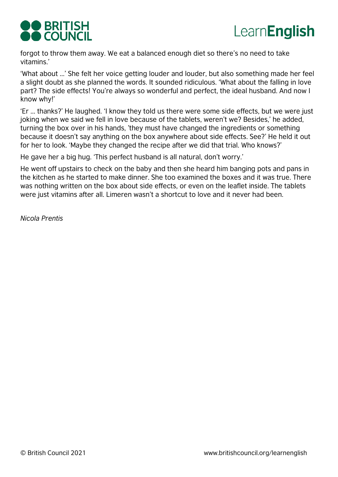



forgot to throw them away. We eat a balanced enough diet so there's no need to take vitamins.'

'What about ...' She felt her voice getting louder and louder, but also something made her feel a slight doubt as she planned the words. It sounded ridiculous. 'What about the falling in love part? The side effects! You're always so wonderful and perfect, the ideal husband. And now I know why!'

'Er ... thanks?' He laughed. 'I know they told us there were some side effects, but we were just joking when we said we fell in love because of the tablets, weren't we? Besides,' he added, turning the box over in his hands, 'they must have changed the ingredients or something because it doesn't say anything on the box anywhere about side effects. See?' He held it out for her to look. 'Maybe they changed the recipe after we did that trial. Who knows?'

He gave her a big hug. 'This perfect husband is all natural, don't worry.'

He went off upstairs to check on the baby and then she heard him banging pots and pans in the kitchen as he started to make dinner. She too examined the boxes and it was true. There was nothing written on the box about side effects, or even on the leaflet inside. The tablets were just vitamins after all. Limeren wasn't a shortcut to love and it never had been.

*Nicola Prentis*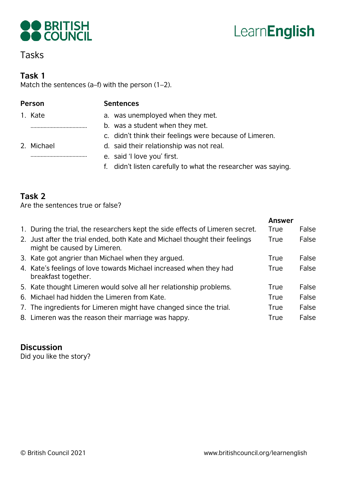

# LearnEnglish

# Tasks

### **Task 1**

Match the sentences (a–f) with the person (1–2).

### **Person Sentences**

1. Kate ………………………………… 2. Michael

…………………………………

- a. was unemployed when they met.
- b. was a student when they met.
	- c. didn't think their feelings were because of Limeren.
	- d. said their relationship was not real.
	- e. said 'I love you' first.
	- f. didn't listen carefully to what the researcher was saying.

## **Task 2**

Are the sentences true or false?

| 1. During the trial, the researchers kept the side effects of Limeren secret.<br>True                              | False |
|--------------------------------------------------------------------------------------------------------------------|-------|
|                                                                                                                    |       |
| 2. Just after the trial ended, both Kate and Michael thought their feelings<br>True<br>might be caused by Limeren. | False |
| 3. Kate got angrier than Michael when they argued.<br><b>True</b>                                                  | False |
| 4. Kate's feelings of love towards Michael increased when they had<br>True<br>breakfast together.                  | False |
| 5. Kate thought Limeren would solve all her relationship problems.<br>True                                         | False |
| 6. Michael had hidden the Limeren from Kate.<br>True                                                               | False |
| 7. The ingredients for Limeren might have changed since the trial.<br>True                                         | False |
| 8. Limeren was the reason their marriage was happy.<br>True                                                        | False |

### **Discussion**

Did you like the story?